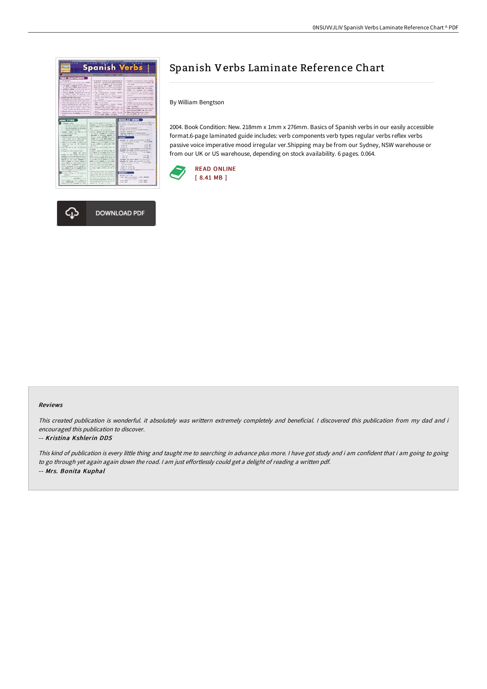



# Spanish Verbs Laminate Reference Chart

By William Bengtson

2004. Book Condition: New. 218mm x 1mm x 276mm. Basics of Spanish verbs in our easily accessible format.6-page laminated guide includes: verb components verb types regular verbs reflex verbs passive voice imperative mood irregular ver.Shipping may be from our Sydney, NSW warehouse or from our UK or US warehouse, depending on stock availability. 6 pages. 0.064.



#### Reviews

This created publication is wonderful. it absolutely was writtern extremely completely and beneficial. I discovered this publication from my dad and i encouraged this publication to discover.

#### -- Kristina Kshlerin DDS

This kind of publication is every little thing and taught me to searching in advance plus more. <sup>I</sup> have got study and i am confident that i am going to going to go through yet again again down the road. <sup>I</sup> am just effortlessly could get <sup>a</sup> delight of reading <sup>a</sup> written pdf. -- Mrs. Bonita Kuphal